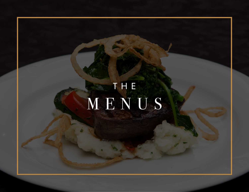

# MENUS.

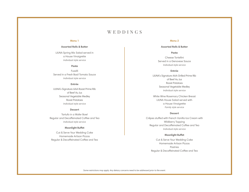#### **Menu 1**

#### **Assorted Rolls & Butter**

LIUNA Spring Mix Salad served in a House Vinaigrette *Individual style service*

#### **Pasta**

Fussilli Served in a Fresh Basil Tomato Sauce *Individual style service*

#### **Entrée**

LIUNA's Signature AAA Roast Prime Rib of Beef Au Jus Seasonal Vegetable Medley Roast Potatoes *Individual style service*

#### **Dessert**

Tartufo in a Wafer Bowl Regular and Decaffeinated Coffee and Tea *Individual style service*

#### **Moonlight Buffet**

Cut & Serve Your Wedding Cake Homemade Artisan Pizzas Regular & Decaffeinated Coffee and Tea

#### **Menu 2**

#### **Assorted Rolls & Butter**

#### **Pasta**

Cheese Tortellini Served in a Genovese Sauce *Individual style service*

#### **Entrée**

LIUNA's Signature AAA Grilled Prime Rib of Beef Au Jus Roast Potatoes Seasonal Vegetable Medley *Individual style service*

White Wine Rosemary Chicken Breast LIUNA House Salad served with a House Vinaigrette *Family style service* 

#### **Dessert**

Crêpes stuffed with French Vanilla Ice Cream with Wildberry Topping Regular and Decaffeinated Coffee and Tea *Individual style service*

#### **Moonlight Buffet**

Cut & Serve Your Wedding Cake Homemade Artisan Pizzas **Pastries** Regular & Decaffeinated Coffee and Tea



*Some restrictions may apply. Any dietary concerns need to be addressed prior to the event.*

## WEDDINGS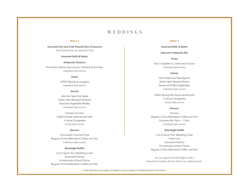#### **Menu 3**

#### **Assorted Hot and Cold Passed Hors D'oeuvres**

*Hand Selected by our Executive Chef* 

#### **Assorted Rolls & Butter**

#### **Antipasto Classico**

Prosciutto, Melon, Bocconcini, Olives & Artichokes *Individual style service*

#### **Pasta**

LIUNA Signature Lasagna *Individual style service*

#### **Entrée**

AAA 8oz New York Steak Garlic Herb Mashed Potatoes Seasonal Vegetable Medley *Individual style service*

Chicken Da Vinci LIUNA's House Salad served with a House Vinaigrette *Family style service*

#### **Dessert**

Chocolate Caramel Torte Regular & Decaffeinated Coffee and Tea *Individual style service*

#### **Moonlight Buffet**

Cut & Serve Your Wedding Cake Assorted Pastries Homemade Artisan Pizzas Regular & Decaffeinated Coffee and Tea

#### **Menu 4**

#### **Assorted Rolls & Butter**

#### **Supreme Antipasto Bar**

#### **Pasta**

Two Crespelle in a Genovese Sauce *Individual style service*

#### **Entrée**

AAA Grilled 6oz Filet Mignon Garlic Herb Mashed Potato Seasonal Grilled Vegetables *Individual style service*

LIUNA Spring Mix Salad served with a House Vinaigrette *Family style service* 

#### **Dessert**

Tiramisu Regular & Decaffeinated Coffee and Tea Espresso Bar 9pm – 12am *Individual style service*

#### **Moonlight Buffet**

Cut & Serve Your Wedding Cake Fresh Fruit Assorted Pastries Homemade Artisan Pizzas Regular & Decaffeinated Coffee and Tea

*You can replace the Filet Mignon with a Frenched Long Bone Provimi Veal at an additonal cost.*



*Some restrictions may apply. Any dietary concerns need to be addressed prior to the event.*

## WEDDINGS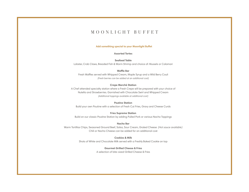#### **Assorted Tortes**

#### **Seafood Table**

## MOONLIGHT BUFFET

Lobster, Crab Claws, Breaded Fish & Warm Shrimp and choice of: Mussels or Calamari

#### **Waffle Bar**

Fresh Waffles served with Whipped Cream, Maple Syrup and a Wild Berry Couli *(Fresh berries can be added at an additional cost)* 

#### **Crepe Marché Station**

A Chef attended specialty station where a Fresh Crepe will be prepared with your choice of Nutella and Strawberries. Garnished with Chocolate Swirl and Whipped Cream *(Additional toppings available at additional cost)*

### **Poutine Station**

Build your own Poutine with a selection of Fresh Cut Fries, Gravy and Cheese Curds

### **Fries Supreme Station**

Build on our classic Poutine Station by adding Pulled Pork or various Nacho Toppings

### **Nacho Bar**

Warm Tortillas Chips, Seasoned Ground Beef, Salsa, Sour Cream, Grated Cheese *(Hot sauce available)* Chili or Nacho Cheese can be added for an additional cost

### **Cookies & Milk**

Shots of White and Chocolate Milk served with a Freshly Baked Cookie on top

### **Gourmet Grilled Cheese & Fries**



A selection of bite-sized Grilled Cheese & Fries

### **Add something special to your Moonlight Buffet**